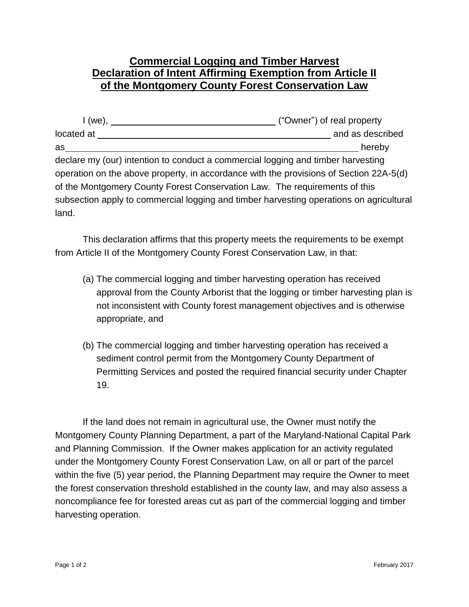## **Commercial Logging and Timber Harvest Declaration of Intent Affirming Exemption from Article II of the Montgomery County Forest Conservation Law**

| I (we).                                                                                 | ("Owner") of real property |
|-----------------------------------------------------------------------------------------|----------------------------|
| located at                                                                              | and as described           |
| as                                                                                      | hereby                     |
| declare my (our) intention to conduct a commercial logging and timber harvesting        |                            |
| operation on the above property, in accordance with the provisions of Section 22A-5(d)  |                            |
| of the Montgomery County Forest Conservation Law. The requirements of this              |                            |
| subsection apply to commercial logging and timber harvesting operations on agricultural |                            |
| land.                                                                                   |                            |

This declaration affirms that this property meets the requirements to be exempt from Article II of the Montgomery County Forest Conservation Law, in that:

- (a) The commercial logging and timber harvesting operation has received approval from the County Arborist that the logging or timber harvesting plan is not inconsistent with County forest management objectives and is otherwise appropriate, and
- (b) The commercial logging and timber harvesting operation has received a sediment control permit from the Montgomery County Department of Permitting Services and posted the required financial security under Chapter 19.

If the land does not remain in agricultural use, the Owner must notify the Montgomery County Planning Department, a part of the Maryland-National Capital Park and Planning Commission. If the Owner makes application for an activity regulated under the Montgomery County Forest Conservation Law, on all or part of the parcel within the five (5) year period, the Planning Department may require the Owner to meet the forest conservation threshold established in the county law, and may also assess a noncompliance fee for forested areas cut as part of the commercial logging and timber harvesting operation.